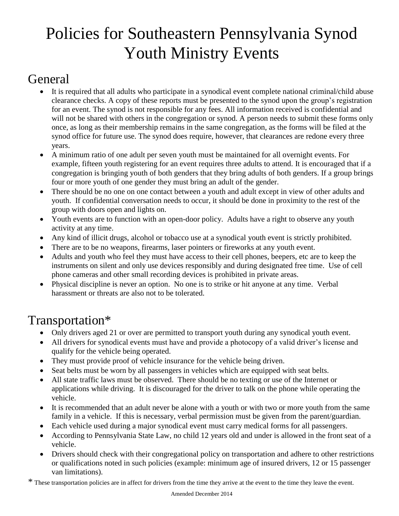## Policies for Southeastern Pennsylvania Synod Youth Ministry Events

### General

- It is required that all adults who participate in a synodical event complete national criminal/child abuse clearance checks. A copy of these reports must be presented to the synod upon the group's registration for an event. The synod is not responsible for any fees. All information received is confidential and will not be shared with others in the congregation or synod. A person needs to submit these forms only once, as long as their membership remains in the same congregation, as the forms will be filed at the synod office for future use. The synod does require, however, that clearances are redone every three years.
- A minimum ratio of one adult per seven youth must be maintained for all overnight events. For example, fifteen youth registering for an event requires three adults to attend. It is encouraged that if a congregation is bringing youth of both genders that they bring adults of both genders. If a group brings four or more youth of one gender they must bring an adult of the gender.
- There should be no one on one contact between a youth and adult except in view of other adults and youth. If confidential conversation needs to occur, it should be done in proximity to the rest of the group with doors open and lights on.
- Youth events are to function with an open-door policy. Adults have a right to observe any youth activity at any time.
- Any kind of illicit drugs, alcohol or tobacco use at a synodical youth event is strictly prohibited.
- There are to be no weapons, firearms, laser pointers or fireworks at any youth event.
- Adults and youth who feel they must have access to their cell phones, beepers, etc are to keep the instruments on silent and only use devices responsibly and during designated free time. Use of cell phone cameras and other small recording devices is prohibited in private areas.
- Physical discipline is never an option. No one is to strike or hit anyone at any time. Verbal harassment or threats are also not to be tolerated.

## Transportation\*

- Only drivers aged 21 or over are permitted to transport youth during any synodical youth event.
- All drivers for synodical events must have and provide a photocopy of a valid driver's license and qualify for the vehicle being operated.
- They must provide proof of vehicle insurance for the vehicle being driven.
- Seat belts must be worn by all passengers in vehicles which are equipped with seat belts.
- All state traffic laws must be observed. There should be no texting or use of the Internet or applications while driving. It is discouraged for the driver to talk on the phone while operating the vehicle.
- It is recommended that an adult never be alone with a youth or with two or more youth from the same family in a vehicle. If this is necessary, verbal permission must be given from the parent/guardian.
- Each vehicle used during a major synodical event must carry medical forms for all passengers.
- According to Pennsylvania State Law, no child 12 years old and under is allowed in the front seat of a vehicle.
- Drivers should check with their congregational policy on transportation and adhere to other restrictions or qualifications noted in such policies (example: minimum age of insured drivers, 12 or 15 passenger van limitations).
- \* These transportation policies are in affect for drivers from the time they arrive at the event to the time they leave the event.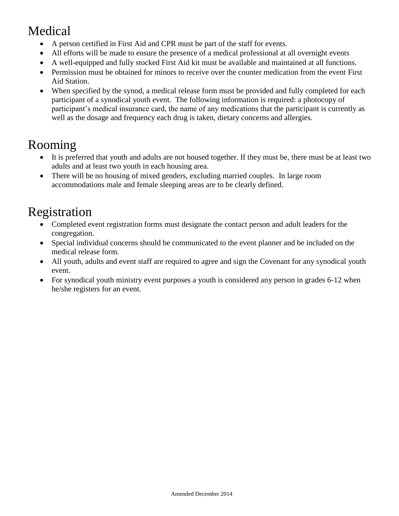## Medical

- A person certified in First Aid and CPR must be part of the staff for events.
- All efforts will be made to ensure the presence of a medical professional at all overnight events
- A well-equipped and fully stocked First Aid kit must be available and maintained at all functions.
- Permission must be obtained for minors to receive over the counter medication from the event First Aid Station.
- When specified by the synod, a medical release form must be provided and fully completed for each participant of a synodical youth event. The following information is required: a photocopy of participant's medical insurance card, the name of any medications that the participant is currently as well as the dosage and frequency each drug is taken, dietary concerns and allergies.

## Rooming

- It is preferred that youth and adults are not housed together. If they must be, there must be at least two adults and at least two youth in each housing area.
- There will be no housing of mixed genders, excluding married couples. In large room accommodations male and female sleeping areas are to be clearly defined.

## Registration

- Completed event registration forms must designate the contact person and adult leaders for the congregation.
- Special individual concerns should be communicated to the event planner and be included on the medical release form.
- All youth, adults and event staff are required to agree and sign the Covenant for any synodical youth event.
- For synodical youth ministry event purposes a youth is considered any person in grades 6-12 when he/she registers for an event.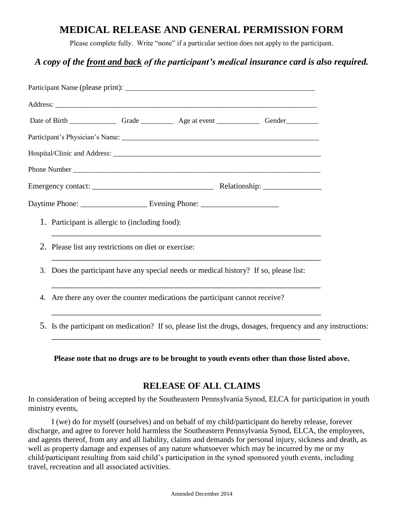#### **MEDICAL RELEASE AND GENERAL PERMISSION FORM**

Please complete fully. Write "none" if a particular section does not apply to the participant.

#### *A copy of the front and back of the participant's medical insurance card is also required.*

| 1. Participant is allergic to (including food): |                                                                                        |  |  |                                                                                                             |  |  |
|-------------------------------------------------|----------------------------------------------------------------------------------------|--|--|-------------------------------------------------------------------------------------------------------------|--|--|
|                                                 | 2. Please list any restrictions on diet or exercise:                                   |  |  |                                                                                                             |  |  |
|                                                 | 3. Does the participant have any special needs or medical history? If so, please list: |  |  |                                                                                                             |  |  |
|                                                 | 4. Are there any over the counter medications the participant cannot receive?          |  |  |                                                                                                             |  |  |
|                                                 |                                                                                        |  |  | 5. Is the participant on medication? If so, please list the drugs, dosages, frequency and any instructions: |  |  |

**Please note that no drugs are to be brought to youth events other than those listed above.**

#### **RELEASE OF ALL CLAIMS**

In consideration of being accepted by the Southeastern Pennsylvania Synod, ELCA for participation in youth ministry events,

I (we) do for myself (ourselves) and on behalf of my child/participant do hereby release, forever discharge, and agree to forever hold harmless the Southeastern Pennsylvania Synod, ELCA, the employees, and agents thereof, from any and all liability, claims and demands for personal injury, sickness and death, as well as property damage and expenses of any nature whatsoever which may be incurred by me or my child/participant resulting from said child's participation in the synod sponsored youth events, including travel, recreation and all associated activities.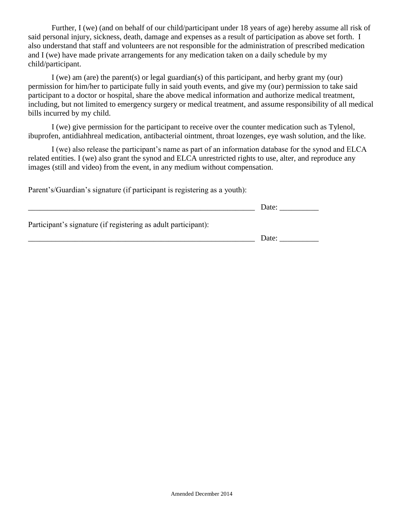Further, I (we) (and on behalf of our child/participant under 18 years of age) hereby assume all risk of said personal injury, sickness, death, damage and expenses as a result of participation as above set forth. I also understand that staff and volunteers are not responsible for the administration of prescribed medication and I (we) have made private arrangements for any medication taken on a daily schedule by my child/participant.

I (we) am (are) the parent(s) or legal guardian(s) of this participant, and herby grant my (our) permission for him/her to participate fully in said youth events, and give my (our) permission to take said participant to a doctor or hospital, share the above medical information and authorize medical treatment, including, but not limited to emergency surgery or medical treatment, and assume responsibility of all medical bills incurred by my child.

I (we) give permission for the participant to receive over the counter medication such as Tylenol, ibuprofen, antidiahhreal medication, antibacterial ointment, throat lozenges, eye wash solution, and the like.

I (we) also release the participant's name as part of an information database for the synod and ELCA related entities. I (we) also grant the synod and ELCA unrestricted rights to use, alter, and reproduce any images (still and video) from the event, in any medium without compensation.

Parent's/Guardian's signature (if participant is registering as a youth):

|                                                                | Date: |
|----------------------------------------------------------------|-------|
| Participant's signature (if registering as adult participant): |       |
|                                                                | Date: |